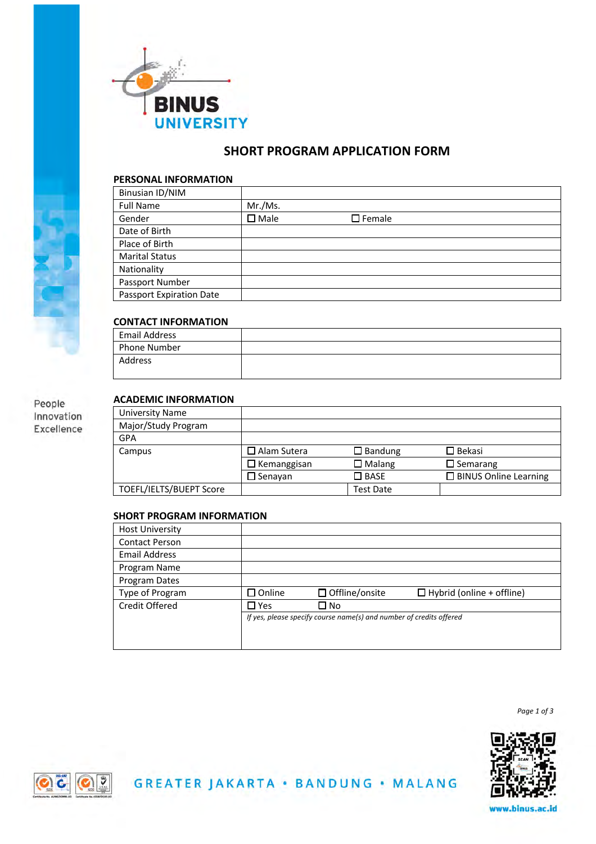

# **SHORT PROGRAM APPLICATION FORM**

## **PERSONAL INFORMATION**

| Binusian ID/NIM                 |                |                  |
|---------------------------------|----------------|------------------|
| <b>Full Name</b>                | Mr./Ms.        |                  |
| Gender                          | $\square$ Male | $\square$ Female |
| Date of Birth                   |                |                  |
| Place of Birth                  |                |                  |
| <b>Marital Status</b>           |                |                  |
| Nationality                     |                |                  |
| Passport Number                 |                |                  |
| <b>Passport Expiration Date</b> |                |                  |

# **CONTACT INFORMATION**

| Email Address |  |
|---------------|--|
| Phone Number  |  |
| Address       |  |

# **ACADEMIC INFORMATION**

People Innovation Excellence

| University Name         |                       |                   |                              |
|-------------------------|-----------------------|-------------------|------------------------------|
| Major/Study Program     |                       |                   |                              |
| <b>GPA</b>              |                       |                   |                              |
| Campus                  | $\square$ Alam Sutera | $\square$ Bandung | $\square$ Bekasi             |
|                         | $\Box$ Kemanggisan    | $\Box$ Malang     | $\square$ Semarang           |
|                         | $\square$ Senavan     | $\square$ BASE    | $\Box$ BINUS Online Learning |
| TOEFL/IELTS/BUEPT Score |                       | <b>Test Date</b>  |                              |

# **SHORT PROGRAM INFORMATION**

| <b>Host University</b> |               |                                                                     |                                  |
|------------------------|---------------|---------------------------------------------------------------------|----------------------------------|
| <b>Contact Person</b>  |               |                                                                     |                                  |
| Email Address          |               |                                                                     |                                  |
| Program Name           |               |                                                                     |                                  |
| Program Dates          |               |                                                                     |                                  |
|                        | $\Box$ Online | $\Box$ Offline/onsite                                               | $\Box$ Hybrid (online + offline) |
| Type of Program        |               |                                                                     |                                  |
| Credit Offered         | $\square$ Yes | ⊐ No                                                                |                                  |
|                        |               | If yes, please specify course name(s) and number of credits offered |                                  |
|                        |               |                                                                     |                                  |

*Page 1 of 3*





www.binus.ac.id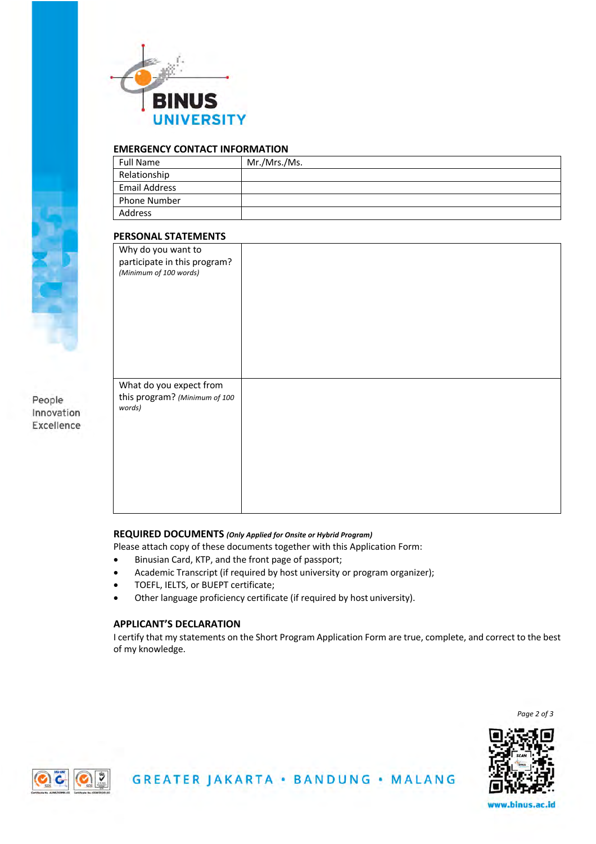

## **EMERGENCY CONTACT INFORMATION**

| <b>Full Name</b> | Mr./Mrs./Ms. |
|------------------|--------------|
| Relationship     |              |
| Email Address    |              |
| Phone Number     |              |
| Address          |              |

#### **PERSONAL STATEMENTS**

| Why do you want to            |  |
|-------------------------------|--|
| participate in this program?  |  |
| (Minimum of 100 words)        |  |
|                               |  |
|                               |  |
|                               |  |
|                               |  |
|                               |  |
|                               |  |
|                               |  |
|                               |  |
|                               |  |
|                               |  |
|                               |  |
| What do you expect from       |  |
| this program? (Minimum of 100 |  |
| words)                        |  |
|                               |  |
|                               |  |
|                               |  |
|                               |  |
|                               |  |
|                               |  |
|                               |  |
|                               |  |
|                               |  |
|                               |  |
|                               |  |

#### **REQUIRED DOCUMENTS** *(Only Applied for Onsite or Hybrid Program)*

Please attach copy of these documents together with this Application Form:

- Binusian Card, KTP, and the front page of passport;
- Academic Transcript (if required by host university or program organizer);
- TOEFL, IELTS, or BUEPT certificate;
- Other language proficiency certificate (if required by host university).

#### **APPLICANT'S DECLARATION**

I certify that my statements on the Short Program Application Form are true, complete, and correct to the best of my knowledge.

*Page 2 of 3*





People Innovation Excellence